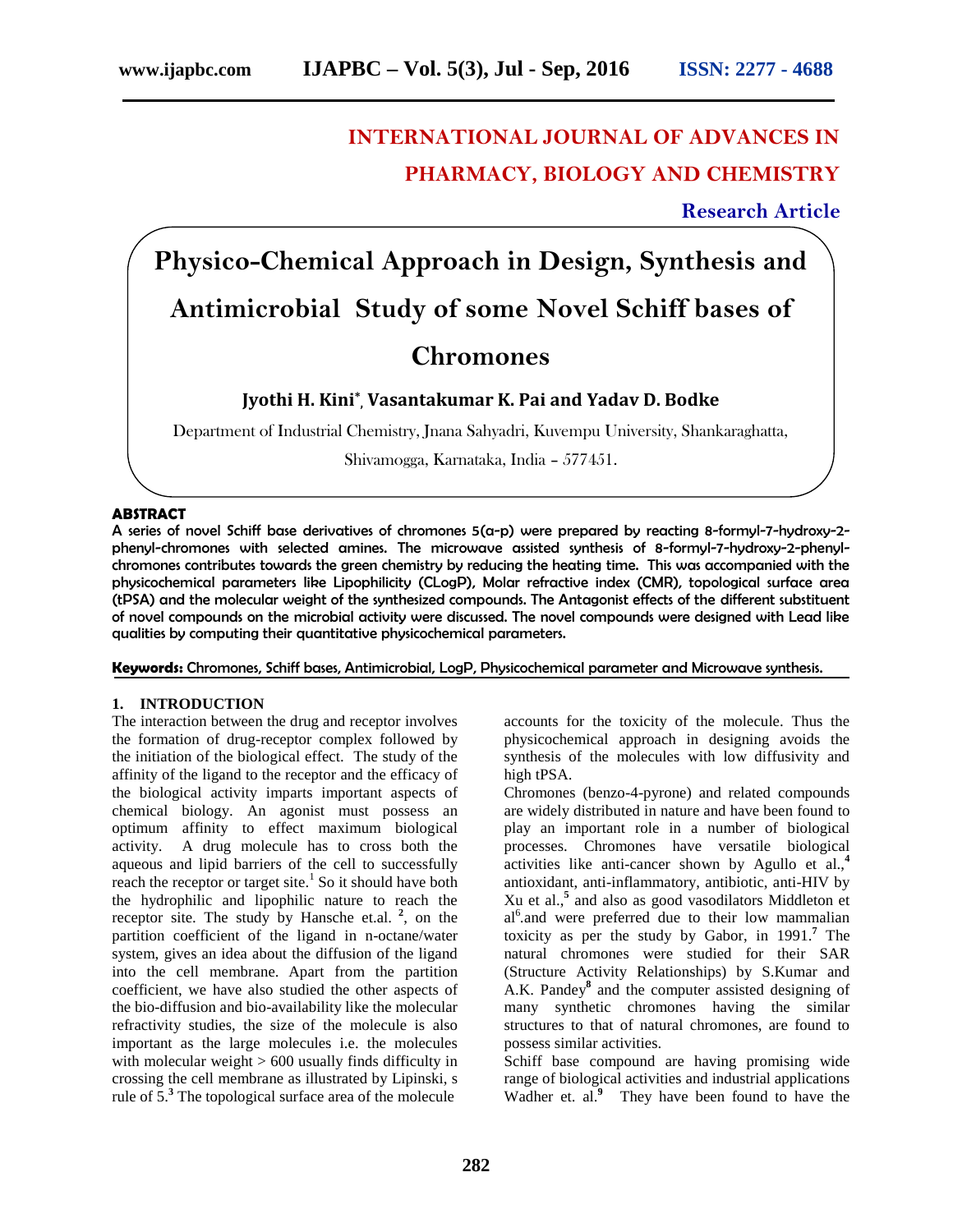# **INTERNATIONAL JOURNAL OF ADVANCES IN PHARMACY, BIOLOGY AND CHEMISTRY**

# **Research Article**

**Physico-Chemical Approach in Design, Synthesis and Antimicrobial Study of some Novel Schiff bases of**

# **Chromones**

# **Jyothi H. Kini\* , Vasantakumar K. Pai and Yadav D. Bodke**

Department of Industrial Chemistry, Jnana Sahyadri, Kuvempu University, Shankaraghatta,

Shivamogga, Karnataka, India – 577451.

# **ABSTRACT**

A series of novel Schiff base derivatives of chromones 5(a-p) were prepared by reacting 8-formyl-7-hydroxy-2 phenyl-chromones with selected amines. The microwave assisted synthesis of 8-formyl-7-hydroxy-2-phenyl chromones contributes towards the green chemistry by reducing the heating time. This was accompanied with the physicochemical parameters like Lipophilicity (CLogP), Molar refractive index (CMR), topological surface area (tPSA) and the molecular weight of the synthesized compounds. The Antagonist effects of the different substituent of novel compounds on the microbial activity were discussed. The novel compounds were designed with Lead like qualities by computing their quantitative physicochemical parameters.

**Keywords:** Chromones, Schiff bases, Antimicrobial, LogP, Physicochemical parameter and Microwave synthesis.

# **1. INTRODUCTION**

The interaction between the drug and receptor involves the formation of drug-receptor complex followed by the initiation of the biological effect. The study of the affinity of the ligand to the receptor and the efficacy of the biological activity imparts important aspects of chemical biology. An agonist must possess an optimum affinity to effect maximum biological activity. A drug molecule has to cross both the aqueous and lipid barriers of the cell to successfully reach the receptor or target site.<sup>1</sup> So it should have both the hydrophilic and lipophilic nature to reach the receptor site. The study by Hansche et.al.  $2$ , on the  $\epsilon$ partition coefficient of the ligand in n-octane/water system, gives an idea about the diffusion of the ligand into the cell membrane. Apart from the partition coefficient, we have also studied the other aspects of the bio-diffusion and bio-availability like the molecular refractivity studies, the size of the molecule is also important as the large molecules i.e. the molecules with molecular weight > 600 usually finds difficulty in crossing the cell membrane as illustrated by Lipinski, s rule of 5.**<sup>3</sup>** The topological surface area of the molecule

accounts for the toxicity of the molecule. Thus the physicochemical approach in designing avoids the synthesis of the molecules with low diffusivity and high tPSA.

Chromones (benzo-4-pyrone) and related compounds are widely distributed in nature and have been found to play an important role in a number of biological processes. Chromones have versatile biological activities like anti-cancer shown by Agullo et al.,**<sup>4</sup>** antioxidant, anti-inflammatory, antibiotic, anti-HIV by Xu et al.,**<sup>5</sup>** and also as good vasodilators Middleton et al<sup>6</sup> and were preferred due to their low mammalian toxicity as per the study by Gabor, in 1991.**<sup>7</sup>** The natural chromones were studied for their SAR (Structure Activity Relationships) by S.Kumar and A.K. Pandey**<sup>8</sup>** and the computer assisted designing of many synthetic chromones having the similar structures to that of natural chromones, are found to possess similar activities.

Schiff base compound are having promising wide range of biological activities and industrial applications Wadher et. al.<sup>9</sup> They have been found to have the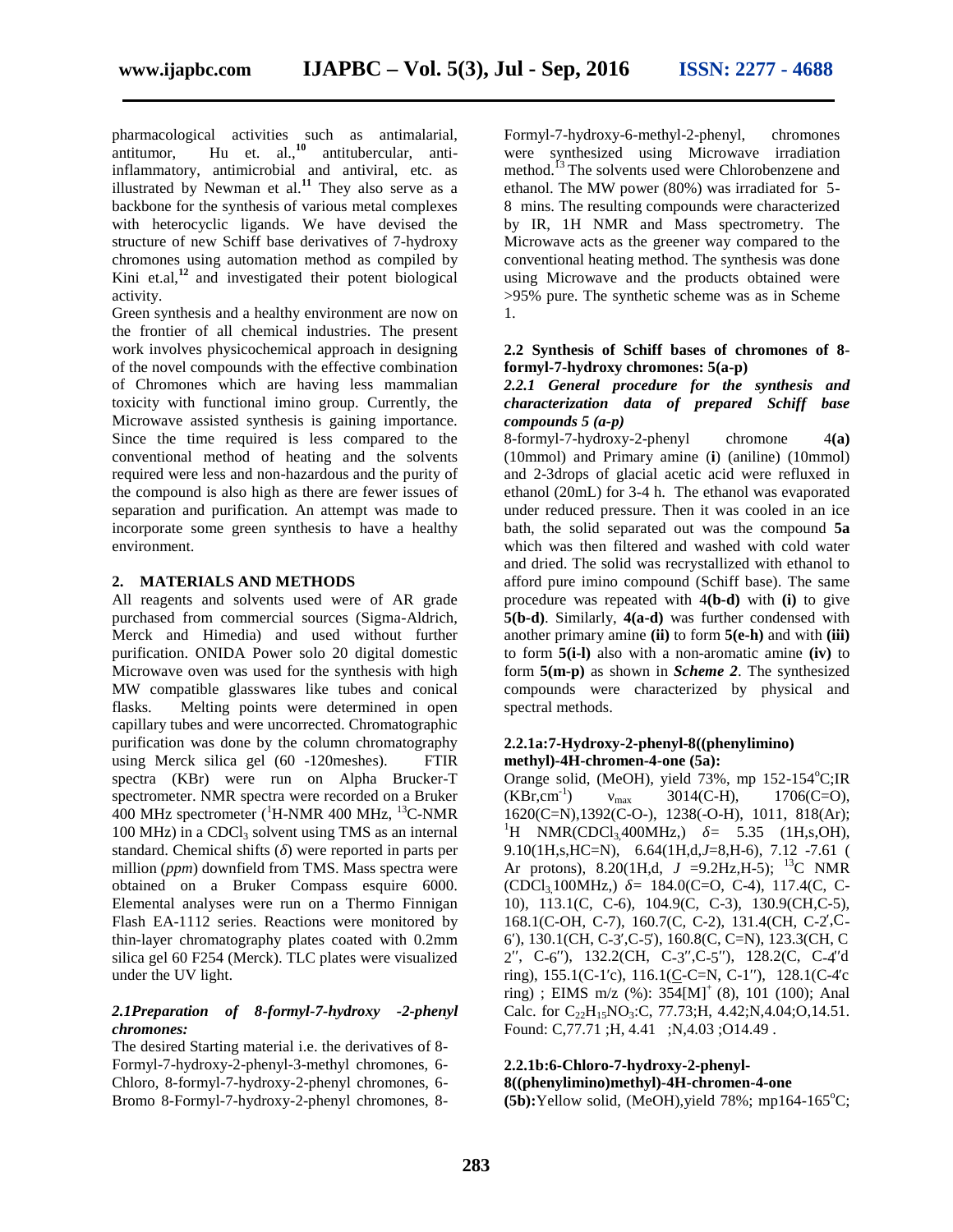pharmacological activities such as antimalarial, antitumor, Hu et. al.,**<sup>10</sup>** antitubercular, antiinflammatory, antimicrobial and antiviral, etc. as illustrated by Newman et al.**<sup>11</sup>** They also serve as a backbone for the synthesis of various metal complexes with heterocyclic ligands. We have devised the structure of new Schiff base derivatives of 7-hydroxy chromones using automation method as compiled by Kini et.al,**<sup>12</sup>** and investigated their potent biological activity.

Green synthesis and a healthy environment are now on the frontier of all chemical industries. The present work involves physicochemical approach in designing of the novel compounds with the effective combination of Chromones which are having less mammalian toxicity with functional imino group. Currently, the Microwave assisted synthesis is gaining importance. Since the time required is less compared to the conventional method of heating and the solvents required were less and non-hazardous and the purity of the compound is also high as there are fewer issues of separation and purification. An attempt was made to incorporate some green synthesis to have a healthy environment.

#### **2. MATERIALS AND METHODS**

All reagents and solvents used were of AR grade purchased from commercial sources (Sigma-Aldrich, Merck and Himedia) and used without further purification. ONIDA Power solo 20 digital domestic Microwave oven was used for the synthesis with high MW compatible glasswares like tubes and conical flasks. Melting points were determined in open capillary tubes and were uncorrected. Chromatographic purification was done by the column chromatography using Merck silica gel (60 -120meshes). FTIR spectra (KBr) were run on Alpha Brucker-T spectrometer. NMR spectra were recorded on a Bruker  $400$  MHz spectrometer ( ${}^{1}$ H-NMR 400 MHz,  ${}^{13}$ C-NMR  $100 \text{ MHz}$ ) in a CDCl<sub>3</sub> solvent using TMS as an internal standard. Chemical shifts ( ) were reported in parts per million (*ppm*) downfield from TMS. Mass spectra were obtained on a Bruker Compass esquire 6000. Elemental analyses were run on a Thermo Finnigan Flash EA-1112 series. Reactions were monitored by thin-layer chromatography plates coated with 0.2mm silica gel 60 F254 (Merck). TLC plates were visualized under the UV light.

# *2.1Preparation of 8-formyl-7-hydroxy -2-phenyl chromones:*

The desired Starting material i.e. the derivatives of 8- Formyl-7-hydroxy-2-phenyl-3-methyl chromones, 6- Chloro, 8-formyl-7-hydroxy-2-phenyl chromones, 6- Bromo 8-Formyl-7-hydroxy-2-phenyl chromones, 8-

Formyl-7-hydroxy-6-methyl-2-phenyl, chromones were synthesized using Microwave irradiation method.<sup>13</sup> The solvents used were Chlorobenzene and ethanol. The MW power (80%) was irradiated for 5- 8 mins. The resulting compounds were characterized by IR, 1H NMR and Mass spectrometry. The Microwave acts as the greener way compared to the conventional heating method. The synthesis was done using Microwave and the products obtained were >95% pure. The synthetic scheme was as in Scheme 1.

#### **2.2 Synthesis of Schiff bases of chromones of 8 formyl-7-hydroxy chromones: 5(a-p)**

#### *2.2.1 General procedure for the synthesis and characterization data of prepared Schiff base compounds 5 (a-p)*

8-formyl-7-hydroxy-2-phenyl chromone 4**(a)** (10mmol) and Primary amine (**i**) (aniline) (10mmol) and 2-3drops of glacial acetic acid were refluxed in ethanol (20mL) for 3-4 h. The ethanol was evaporated under reduced pressure. Then it was cooled in an ice bath, the solid separated out was the compound **5a** which was then filtered and washed with cold water and dried. The solid was recrystallized with ethanol to afford pure imino compound (Schiff base). The same procedure was repeated with 4**(b-d)** with **(i)** to give **5(b-d)**. Similarly, **4(a-d)** was further condensed with another primary amine **(ii)** to form **5(e-h)** and with **(iii)** to form **5(i-l)** also with a non-aromatic amine **(iv)** to form **5(m-p)**as shown in *Scheme 2*. The synthesized compounds were characterized by physical and spectral methods.

### **2.2.1a:7-Hydroxy-2-phenyl-8((phenylimino) methyl)-4H-chromen-4-one (5a):**

Orange solid, (MeOH), yield 73%, mp 152-154°C;IR  $(KBr, cm^{-1})$  max  $3014(C-H),$  1706(C=O), 1620(C=N),1392(C-O-), 1238(-O-H), 1011, 818(Ar);<br><sup>1</sup>H NMR(CDCl<sub>3</sub>400MHz,) = 5.35 (1H,s,OH), 9.10(1H,s,HC=N), 6.64(1H,d,*J*=8,H-6), 7.12 -7.61 ( Ar protons), 8.20(1H,d,  $J = 9.2$ Hz,H-5); <sup>13</sup>C NMR (CDCl3,100MHz,) *δ=* 184.0(C=O, C-4), 117.4(C, C- 10), 113.1(C, C-6), 104.9(C, C-3), 130.9(CH,C-5), 168.1(C-OH, C-7), 160.7(C, C-2), 131.4(CH, C-2,C-6′), 130.1(CH, C-3′,C-5′), 160.8(C, C=N), 123.3(CH, C 2, C-6), 132.2(CH, C-3, C-5), 128.2(C, C-4 d ring),  $155.1(C-1)$ ,  $116.1(C-C=N, C-1)$ ,  $128.1(C-4)$ ring) ; EIMS m/z (%):  $354[M]^+$  (8), 101 (100); Anal Calc. for  $C_{22}H_{15}NO_3:C$ , 77.73; H, 4.42; N, 4.04; O, 14.51. Found: C,77.71 ;H, 4.41 ;N,4.03 ;O14.49 .

#### **2.2.1b:6-Chloro-7-hydroxy-2-phenyl- 8((phenylimino)methyl)-4H-chromen-4-one**

 $(5b):$ Yellow solid, (MeOH), yield 78%; mp164-165<sup>o</sup>C;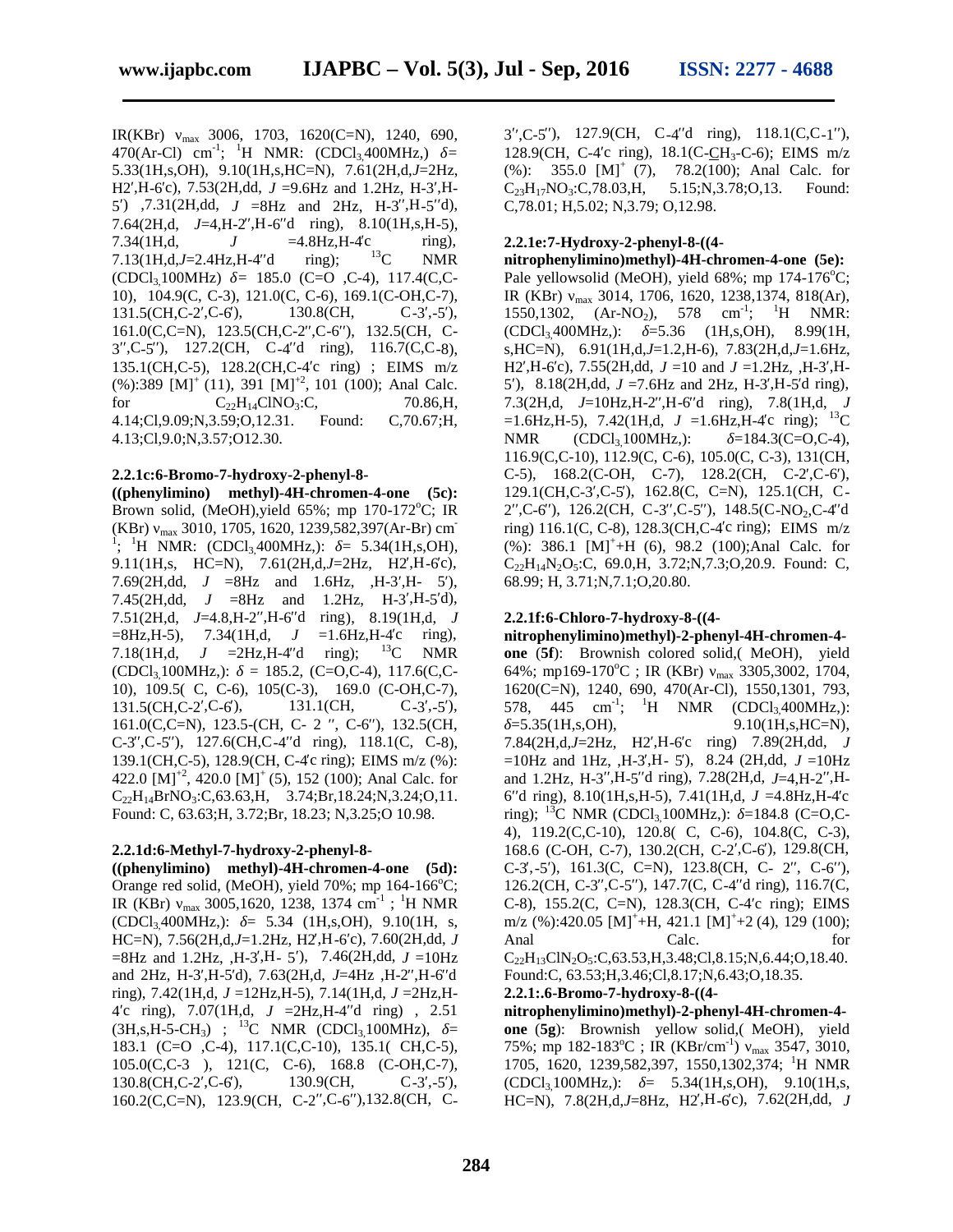IR(KBr) max 3006, 1703, 1620(C=N), 1240, 690, 470(Ar-Cl) cm<sup>-1</sup>; <sup>1</sup>H NMR: (CDCl<sub>3</sub>,400MHz,) = 128.9 5.33(1H,s,OH), 9.10(1H,s,HC=N), 7.61(2H,d,*J*=2Hz, H<sub>2</sub>, H<sub>-6</sub>c), 7.53(2H,dd, *J* =9.6Hz and 1.2Hz, H<sub>-3</sub>, H<sub>-</sub> 5) ,7.31(2H,dd,  $J = 8Hz$  and 2Hz, H-3, H-5 d), 7.64 $(2H,d, J=4,H-2, H-6d)$  ring), 8.10 $(1H,s,H-5)$ , 7.34(1H,d,  $J = 4.8$ Hz,H-4 c ring),<br>7.13(1H,d,J=2.4Hz,H-4 d ring):  $^{13}$ C NMR 7.13(1H,d,J=2.4Hz,H-4<sup>d</sup> ring); <sup>13</sup>C NMR (CDCl3,100MHz) *δ=* 185.0 (C=O ,C-4), 117.4(C,C- 10), 104.9(C, C-3), 121.0(C, C-6), 169.1(C-OH,C-7), 131.5(CH,C-2,C-6), 130.8(CH, C-3,-5), 161.0(C,C=N), 123.5(CH,C-2,C-6), 132.5(CH, C- $3$ , C-5), 127.2(CH, C-4 d ring), 116.7(C,C-8), 135.1(CH,C-5), 128.2(CH,C-4 c ring) ; EIMS m/z  $(\%)$ :389 [M]<sup>+</sup> (11), 391 [M]<sup>+2</sup>, 101 (100); Anal Calc. for  $C_{22}H_{14}CINO_3:C$ , 70.86,H, 4.14;Cl,9.09;N,3.59;O,12.31. Found: C,70.67;H, 4.13;Cl,9.0;N,3.57;O12.30.

#### **2.2.1c:6-Bromo-7-hydroxy-2-phenyl-8-**

**((phenylimino) methyl)-4H-chromen-4-one (5c):** Brown solid, (MeOH), yield  $65\%$ ; mp  $170-172^{\circ}$ C; IR (KBr)  $_{max}$  3010, 1705, 1620, 1239,582,397(Ar-Br) cm<sup>-</sup> <sup>1</sup>; <sup>1</sup>H NMR: (CDCl<sub>3</sub>,400MHz,): = 5.34(1H,s,OH), 9.11(1H,s, HC=N), 7.61(2H,d,J=2Hz, H2,H-6c), 7.69(2H,dd,  $J = 8$ Hz and 1.6Hz, ,H-3,H- 5), 7.45(2H,dd,  $J = 8$ Hz and 1.2Hz, H-3, H-5 d),  $7.51(2H,d, J=4.8,H-2, H-6d)$  ring),  $8.19(1H,d, J)$ =8Hz,H-5), 7.34(1H,d, *J* =1.6Hz,H-4 c ring),<br>7.18(1H,d, *J* =2Hz,H-4 d ring); <sup>13</sup>C NMR 7.18(1H,d,  $J = 2Hz$ , H-4 d ring);  $(CDCl<sub>3</sub>100MHz)$ : = 185.2,  $(C=O,C-4)$ , 117.6(C,C-10), 109.5( C, C-6), 105(C-3), 169.0 (C-OH,C-7), 131.5(CH,C-2,C-6), 131.1(CH, C-3,-5),  $161.0(C, C=N)$ , 123.5-(CH, C- 2, C-6), 132.5(CH, C-3, C-5),  $127.6$ (CH,C-4 d ring),  $118.1$ (C, C-8), 139.1(CH,C-5), 128.9(CH, C-4c ring); EIMS m/z (%): 422.0  $[M]^{+2}$ , 420.0  $[M]^{+}$  (5), 152 (100); Anal Calc. for  $C_{22}H_{14}BrNO_3:C$ ,63.63,H, 3.74;Br,18.24;N,3.24;O,11. Found: C, 63.63;H, 3.72;Br, 18.23; N,3.25;O 10.98.

# **2.2.1d:6-Methyl-7-hydroxy-2-phenyl-8-**

**((phenylimino) methyl)-4H-chromen-4-one (5d):** Orange red solid, (MeOH), yield  $70\%$ ; mp  $164-166^{\circ}$ C; IR (KBr)  $_{\text{max}}$  3005,1620, 1238, 1374 cm<sup>-1</sup>; <sup>1</sup>H NMR C-8)  $(CDCl<sub>3</sub>400MHz)$ : = 5.34 (1H,s,OH), 9.10(1H, s, HC=N), 7.56(2H,d,J=1.2Hz, H2,H-6 c), 7.60(2H,dd, J Anal  $=$ 8Hz and 1.2Hz, ,H-3,H- 5), 7.46(2H,dd,  $J = 10$ Hz and 2Hz, H-3<sup>,H-5</sup>d), 7.63(2H,d, J=4Hz, H-2<sup>,H-6</sup>d ring), 7.42(1H,d, *J* =12Hz,H-5), 7.14(1H,d, *J* =2Hz,H- 4 c ring), 7.07(1H,d, *J* = 2Hz, H-4 d ring), 2.51  $(3H, s, H - 5-CH_3)$ ; <sup>13</sup>C NMR  $(CDCl_3, 100MHz)$ , = 183.1 (C=O ,C-4), 117.1(C,C-10), 135.1( CH,C-5), 105.0(C,C-3 ), 121(C, C-6), 168.8 (C-OH,C-7),  $130.8$ (CH,C-2,C-6),  $130.9$ (CH, C-3,-5), 160.2(C,C=N), 123.9(CH, C-2, C-6),132.8(CH, C-

3 ( $C$ -5), 127.9( $CH$ ,  $C$ -4 d ring), 118.1( $C$ , $C$ -1), 128.9(CH, C-4 c ring),  $18.1$ (C-CH<sub>3</sub>-C-6); EIMS m/z (%): 355.0 [M]<sup>+</sup> (7), 78.2(100); Anal Calc. for  $C_{23}H_{17}NO_3$ :C,78.03,H, 5.15;N,3.78;O,13. Found: C,78.01; H,5.02; N,3.79; O,12.98.

# **2.2.1e:7-Hydroxy-2-phenyl-8-((4-**

**nitrophenylimino)methyl)-4H-chromen-4-one (5e):** Pale yellowsolid (MeOH), yield  $68\%$ ; mp  $174-176\text{°C}$ ; IR (KBr) max 3014, 1706, 1620, 1238,1374, 818(Ar), 1550,1302,  $(Ar-NO_2)$ , 578  $cm^{-1}$ ; <sup>1</sup>H NMR:  $(CDCl<sub>3</sub>400MHz); = 5.36 (1H<sub>5</sub>,OH), 8.99(1H,$ s,HC=N), 6.91(1H,d,*J*=1.2,H-6), 7.83(2H,d,*J*=1.6Hz, H2, H-6°c),  $7.55(2H, dd, J = 10$  and  $J = 1.2Hz, H = 3$ , H-5), 8.18(2H,dd,  $J = 7.6$ Hz and 2Hz, H-3, H-5 d ring),  $7.3(2H,d, J=10Hz,H-2, H-6d)$  ring),  $7.8(1H,d, J)$  $=1.6$ Hz, H-5), 7.42(1H, d, J = 1.6Hz, H-4 c ring); <sup>13</sup>C NMR  $(CDCl_3100MHz)$ :  $=184.3(C=0.C-4)$ , 116.9(C,C-10), 112.9(C, C-6), 105.0(C, C-3), 131(CH, C-5),  $168.2$ (C-OH, C-7),  $128.2$ (CH, C-2, C-6), 129.1(CH,C-3′,C-5′), 162.8(C, C=N), 125.1(CH, C- 2, C-6 $)$ , 126.2(CH, C-3, C-5 $)$ , 148.5(C-NO<sub>2</sub>, C-4 d) ring)  $116.1(C, C-8)$ ,  $128.3(CH, C-4c$  ring); EIMS m/z  $(\%)$ : 386.1 [M]<sup>+</sup>+H (6), 98.2 (100);Anal Calc. for  $C_{22}H_{14}N_2O_5$ :C, 69.0,H, 3.72;N,7.3;O,20.9. Found: C, 68.99; H, 3.71;N,7.1;O,20.80.

# **2.2.1f:6-Chloro-7-hydroxy-8-((4-**

**nitrophenylimino)methyl)-2-phenyl-4H-chromen-4 one** (**5f**): Brownish colored solid,( MeOH), yield 64%; mp169-170°C; IR (KBr) max 3305,3002, 1704, 1620(C=N), 1240, 690, 470(Ar-Cl), 1550,1301, 793, 578, 445 cm<sup>-1</sup>; <sup>1</sup>H NMR (CDCl<sub>3,</sub>400MHz,):  $=$  5.35(1H,s,OH), 9.10(1H,s,HC=N), 7.84(2H,d,*J*=2Hz, H2′,H-6′c ring) 7.89(2H,dd, *J*  $=10$ Hz and 1Hz,  $,H-3,H-5$ ), 8.24 (2H,dd,  $J = 10$ Hz and 1.2Hz, H-3<sup>3</sup>, H-5<sup>d</sup> ring), 7.28(2H,d, *J*=4,H-2<sup>1</sup>,H-6 d ring), 8.10(1H,s, H-5), 7.41(1H,d,  $J = 4.8$ Hz, H-4 c ring);  $^{13}$ C NMR (CDCl<sub>3</sub>,100MHz,): =184.8 (C=O,C-4), 119.2(C,C-10), 120.8( C, C-6), 104.8(C, C-3), 168.6 (C-OH, C-7), 130.2(CH, C-2, C-6), 129.8(CH,  $C-3,-5$ ), 161.3(C, C=N), 123.8(CH, C- 2, C-6), 126.2(CH, C-3, C-5), 147.7(C, C-4 d ring), 116.7(C, C-8),  $155.2(C, C=N)$ ,  $128.3(CH, C-4c)$  ring); EIMS m/z (%):420.05  $[M]^+$ +H, 421.1  $[M]^+$ +2 (4), 129 (100); Anal Calc. Carried Contract Contract Contract Contract Contract of the Contract Contract Contract Contract Contract Contract Contract Contract Contract Contract Contract Contract Contract Contract Contract Contract Contrac  $C_{22}H_{13}CIN_2O_5:C$ ,63.53,H,3.48;Cl,8.15;N,6.44;O,18.40. Found:C, 63.53;H,3.46;Cl,8.17;N,6.43;O,18.35.

# **2.2.1:.6-Bromo-7-hydroxy-8-((4-**

**nitrophenylimino)methyl)-2-phenyl-4H-chromen-4 one** (**5g**): Brownish yellow solid,( MeOH), yield 75%; mp 182-183<sup>o</sup>C ; IR (KBr/cm<sup>-1</sup>) <sub>max</sub> 3547, 3010, 1705, 1620, 1239,582,397, 1550,1302,374; <sup>1</sup>H NMR  $(CDCl<sub>3</sub>100MHz)$ : = 5.34(1H,s,OH), 9.10(1H,s, HC=N), 7.8(2H,d,J=8Hz, H2,H-6c), 7.62(2H,dd, J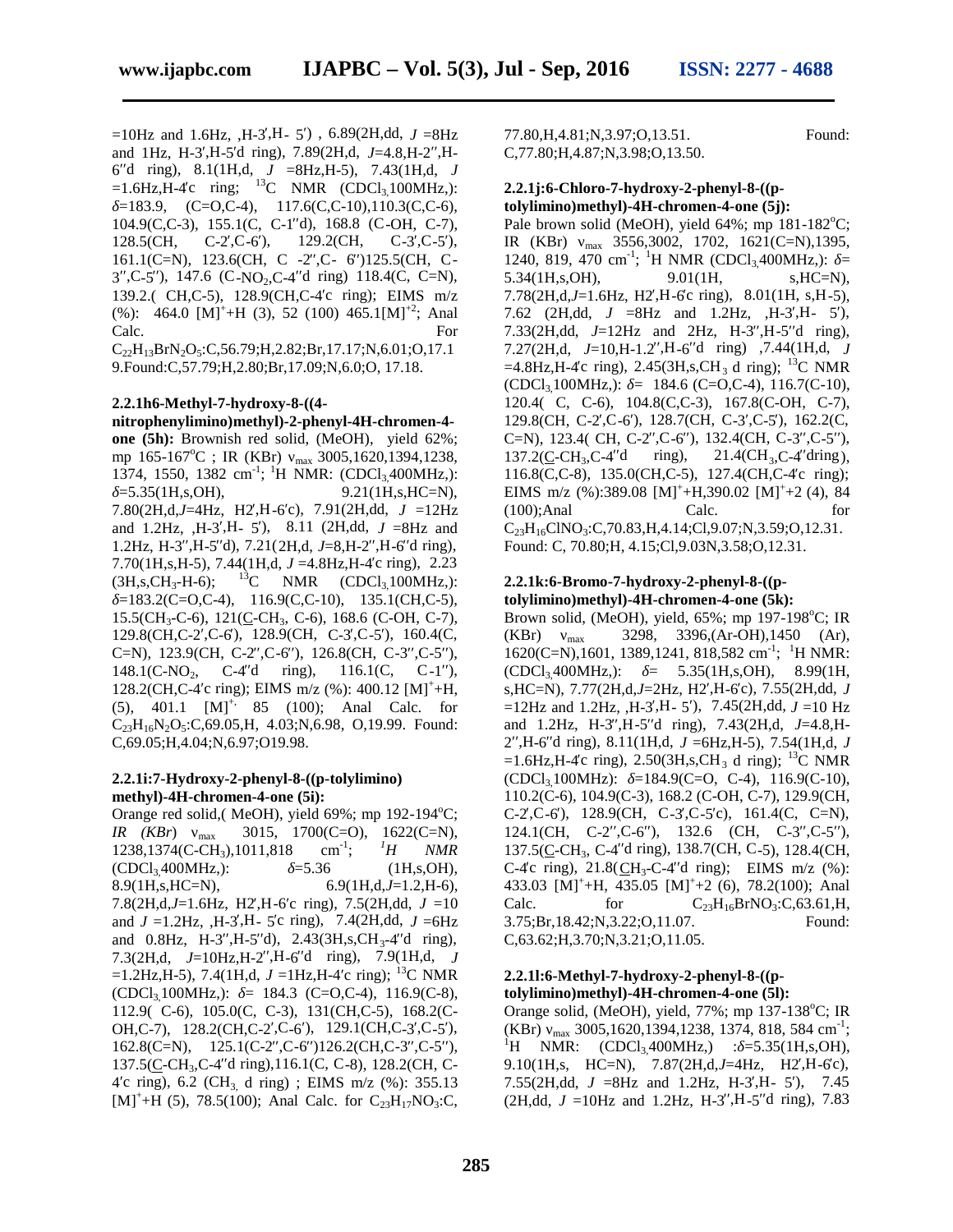$=10$ Hz and 1.6Hz, ,H-3<sup>,H</sup>- 5), 6.89(2H,dd, *J* =8Hz and 1Hz, H-3<sup>, H</sup>-5<sup>d</sup> ring), 7.89(2H,d, J=4.8, H-2<sup>, H</sup>-6′′d ring), 8.1(1H,d, *J* =8Hz,H-5), 7.43(1H,d, *J*  $=1.6$ Hz,H-4°c ring; <sup>13</sup>C NMR (CDCl<sub>3</sub>,100MHz,):  $=183.9, \quad (C=O,C-4), \quad 117.6(C,C-10), 110.3(C,C-6),$ 104.9(C,C-3), 155.1(C, C-1 d), 168.8 (C-OH, C-7), 128.5(CH,  $C-2$ ,  $C-6$ ), 129.2(CH,  $C-3$ ,  $C-5$ ), 161.1(C=N), 123.6(CH, C  $-2$ , C $-6$ )125.5(CH, C $3$ , C-5), 147.6 (C-NO<sub>2</sub>, C-4 d ring) 118.4(C, C=N), 139.2.( CH, C-5), 128.9(CH, C-4 c ring); EIMS  $m/z$ (%): 464.0 [M]<sup>+</sup>+H (3), 52 (100) 465.1[M]<sup>+2</sup>; Anal Calc. For  $C_{22}H_{13}BrN_2O_5:C,56.79;H,2.82;Br,17.17;N,6.01;O,17.1$ 

9.Found:C,57.79;H,2.80;Br,17.09;N,6.0;O, 17.18.

# **2.2.1h6-Methyl-7-hydroxy-8-((4-**

**nitrophenylimino)methyl)-2-phenyl-4H-chromen-4 one (5h):** Brownish red solid, (MeOH), yield 62%; mp  $165-167^{\circ}\text{C}$ ; IR (KBr)  $_{\text{max}}$  3005,1620,1394,1238, 1374, 1550, 1382 cm<sup>-1</sup>; <sup>1</sup>H NMR: (CDCl<sub>3,</sub>400MHz,):  $=5.35(1H,s,OH),$  9.21(1H,s,HC=N), 7.80(2H,d,J=4Hz, H2,H-6 c), 7.91(2H,dd,  $J = 12$ Hz and 1.2Hz,  $,H-3,H-5$ ), 8.11 (2H,dd,  $J = 8$ Hz and 1.2Hz, H-3, H-5 d), 7.21(2H,d, J=8, H-2, H-6 d ring), 7.70(1H,s,H-5), 7.44(1H,d,  $J = 4.8$ Hz,H-4 c ring), 2.23<br>(3H,s,CH<sub>3</sub>-H-6); <sup>13</sup>C NMR (CDCl<sub>3</sub>100MHz,):  $(3H,s,CH_3-H-6);$  <sup>13</sup>C NMR  $(CDCl_3100MHz);$  $=183.2(C=0,C-4), 116.9(C,C-10), 135.1(CH,C-5),$  $15.5(CH_3-C-6)$ ,  $121(C-CH_3, C-6)$ ,  $168.6$  (C-OH, C-7), 129.8(CH,C-2,C-6), 128.9(CH, C-3,C-5), 160.4(C, C=N),  $123.9$ (CH, C-2, C-6),  $126.8$ (CH, C-3, C-5), 148.1(C-NO<sub>2</sub>, C-4 d ring), 116.1(C, C-1), 128.2(CH,C-4 c ring); EIMS m/z (%): 400.12  $[M]^+$ +H,  $(5)$ , 401.1  $[M]^{+}$ , 85 (100); Anal Calc. for  $C_{23}H_{16}N_2O_5$ :C,69.05,H, 4.03;N,6.98, O,19.99. Found: C,69.05;H,4.04;N,6.97;O19.98.

#### **2.2.1i:7-Hydroxy-2-phenyl-8-((p-tolylimino) methyl)-4H-chromen-4-one (5i):**

Orange red solid,( MeOH), yield  $69\%$ ; mp  $192-194\text{°C}$ ; *IR (KBr)* max 3015, 1700(C=O), 1622(C=N), 1238,1374(C-CH<sub>3</sub>),1011,818 cm<sup>-1</sup>;  ${}^{1}H$  *NMR* 1238,1374(C-CH<sub>3</sub>),1011,818 cm<sup>-1</sup>;  $^1H$  *NMR*<br>(CDCl<sub>3</sub>400MHz.): =5.36 (1H,s,OH), ; *<sup>1</sup>H NMR*  $(CDCl<sub>3</sub>400MHz)$ : 8.9(1H,s,HC=N), 6.9(1H,d,*J*=1.2,H-6), 7.8(2H,d,J=1.6Hz, H2,H-6 c ring), 7.5(2H,dd, J =10 Calc. and  $J = 1.2$ Hz, ,H-3,H- 5°c ring), 7.4(2H,dd,  $J = 6$ Hz and 0.8Hz, H-3 , H-5 d), 2.43(3H,s, CH<sub>3</sub>-4 d ring),  $7.3(2H.d. J=10Hz.H-2,H-6d ring)$ ,  $7.9(1H.d. J$ =1.2Hz, H-5), 7.4(1H, d,  $J = 1$ Hz, H-4 c ring); <sup>13</sup>C NMR  $(CDCl<sub>3</sub>100MHz)$ : = 184.3  $(C=O,C-4)$ , 116.9(C-8), 112.9( C-6), 105.0(C, C-3), 131(CH,C-5), 168.2(C- OH, C-7),  $128.2$ (CH, C-2, C-6),  $129.1$ (CH, C-3, C-5), 162.8(C=N), 125.1(C-2 $\,$ ,C-6 $\,$ )126.2(CH,C-3 $\,$ ,C-5 $\,$ ), 137.5(C-CH<sub>3</sub>,C-4<sup>d</sup> ring),116.1(C, C-8), 128.2(CH, C-4 c ring),  $6.2$  (CH<sub>3,</sub> d ring) ; EIMS m/z (%): 355.13  $[M^+ + H (5), 78.5(100);$  Anal Calc. for C<sub>23</sub>H<sub>17</sub>NO<sub>3</sub>:C,

77.80,H,4.81;N,3.97;O,13.51. Found: C,77.80;H,4.87;N,3.98;O,13.50.

#### **2.2.1j:6-Chloro-7-hydroxy-2-phenyl-8-((ptolylimino)methyl)-4H-chromen-4-one (5j):**

Pale brown solid (MeOH), yield  $64\%$ ; mp  $181-182^{\circ}$ C; IR (KBr)  $_{max}$  3556,3002, 1702, 1621(C=N),1395, 1240, 819, 470 cm<sup>-1</sup>; <sup>1</sup>H NMR (CDCl<sub>3,</sub>400MHz,): = 5.34(1H,s,OH), 9.01(1H, s,HC=N),  $7.78(2H.d.J=1.6Hz, H2.H-6c ring)$ ,  $8.01(1H, s,H-5)$ , 7.62 (2H,dd,  $J = 8$ Hz and 1.2Hz, ,H-3,H- 5), 7.33(2H,dd,  $J=12Hz$  and 2Hz, H-3, H-5 d ring), 7.27(2H,d,  $J=10,H-1.2$ , H-6 d ring) ,7.44(1H,d,  $J$  $=4.8$ Hz,H-4°c ring), 2.45(3H,s,CH<sub>3</sub> d ring); <sup>13</sup>C NMR  $(CDCl<sub>3</sub>100MHz)$ : = 184.6 (C=O,C-4), 116.7(C-10), 120.4( C, C-6), 104.8(C,C-3), 167.8(C-OH, C-7), 129.8(CH, C-2, C-6), 128.7(CH, C-3, C-5), 162.2(C, C=N),  $123.4$ ( CH, C-2, C-6),  $132.4$ (CH, C-3, C-5),  $137.2(C-CH_3.C-4 \text{ d} \text{ ring})$ ,  $21.4(CH_3.C-4 \text{ dring})$ , 116.8(C,C-8), 135.0(CH,C-5), 127.4(CH,C-4c ring); EIMS m/z  $(\%):389.08 \text{ [M]}^+ + \text{H}$ ,390.02  $\text{[M]}^+ + 2$  (4), 84 (100);Anal Calc. for  $C_{23}H_{16}CINO_3:C$ ,70.83,H,4.14;Cl,9.07;N,3.59;O,12.31. Found: C, 70.80;H, 4.15;Cl,9.03N,3.58;O,12.31.

#### **2.2.1k:6-Bromo-7-hydroxy-2-phenyl-8-((ptolylimino)methyl)-4H-chromen-4-one (5k):**

Brown solid, (MeOH), yield,  $65\%$ ; mp 197-198 $^{\circ}$ C; IR  $(KBr)$   $_{max}$  3298, 3396,(Ar-OH),1450 (Ar), 1620(C=N),1601, 1389,1241, 818,582 cm<sup>-1</sup>; <sup>1</sup>H NMR:  $(CDCl_3400MHz)$ : = 5.35(1H,s,OH), 8.99(1H, s, HC=N), 7.77(2H,d, J=2Hz, H2, H-6c), 7.55(2H,dd, J  $=12$ Hz and 1.2Hz, ,H-3,H- 5), 7.45(2H,dd,  $J=10$  Hz and 1.2Hz, H-3<sup>, H</sup>-5<sup>d</sup> ring), 7.43(2H,d, J=4.8, H-2′′,H-6′′d ring), 8.11(1H,d, *J* =6Hz,H-5), 7.54(1H,d, *J* =1.6Hz,H-4c ring), 2.50(3H,s,CH<sub>3</sub> d ring); <sup>13</sup>C NMR  $(CDCl<sub>3</sub>100MHz): =184.9(C=0, C=4), 116.9(C=10),$ 110.2(C-6), 104.9(C-3), 168.2 (C-OH, C-7), 129.9(CH,  $C-2$ , $C-6$ ), 128.9(CH,  $C-3$ , $C-5$ c), 161.4(C, C=N), 124.1(CH, C-2, C-6), 132.6 (CH, C-3, C-5), 137.5(C-CH<sub>3</sub>, C-4<sup>d</sup> ring), 138.7(CH, C-5), 128.4(CH, C-4c ring),  $21.8(\text{CH}_3-\text{C-4d ring})$ ; EIMS m/z (%): 433.03  $[M]^+$ +H, 435.05  $[M]^+$ +2 (6), 78.2(100); Anal for  $C_{23}H_{16}BrNO_3:C$ ,63.61,H,<br>I,3.22:O,11.07. Found: 3.75;Br,18.42;N,3.22;O,11.07. C,63.62;H,3.70;N,3.21;O,11.05.

#### **2.2.1l:6-Methyl-7-hydroxy-2-phenyl-8-((ptolylimino)methyl)-4H-chromen-4-one (5l):**

Orange solid, (MeOH), yield,  $77\%$ ; mp  $137-138$ °C; IR (KBr)  $_{\text{max}}$  3005,1620,1394,1238, 1374, 818, 584 cm<sup>-1</sup>;  ${}^{1}$ H NMR: (CDCl<sub>3</sub>400MHz.) : =5.35(1H,s,OH), 9.10(1H,s, HC=N), 7.87(2H,d,J=4Hz, H2,H-6c), 7.55(2H,dd,  $J = 8$ Hz and 1.2Hz, H-3, H-5), 7.45  $(2H, dd, J = 10Hz$  and 1.2Hz, H-3, H-5 d ring), 7.83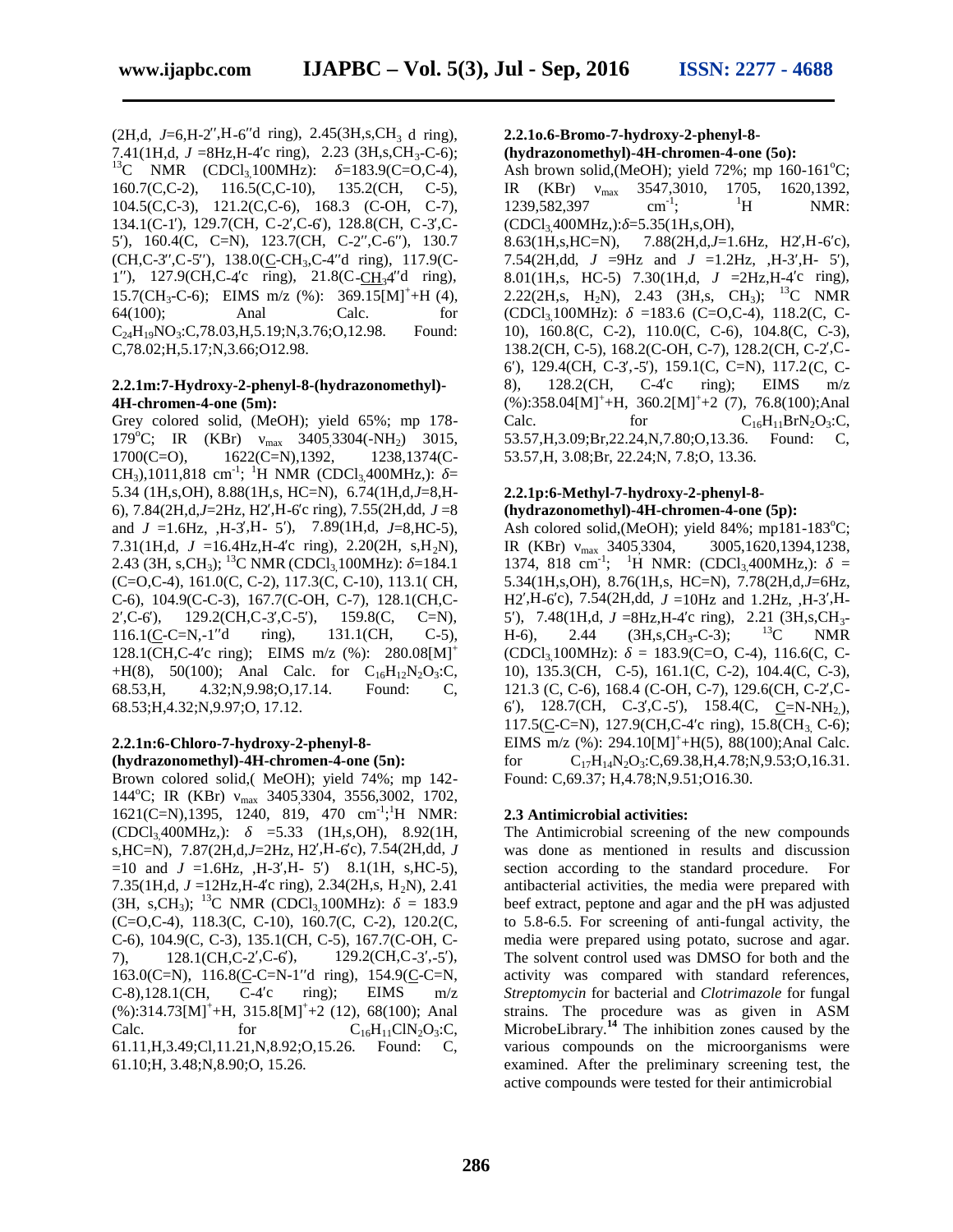$(2H,d, J=6,H-2, H-6d)$  ring),  $2.45(3H,s,CH<sub>3</sub> d)$  ring), 7.41(1H,d, *J* =8Hz,H-4 c ring), 2.23 (3H,s,CH<sub>3</sub>-C-6);<br><sup>13</sup>C NMR (CDCl<sub>3</sub>,100MHz): =183.9(C=O,C-4), 160.7(C,C-2), 116.5(C,C-10), 135.2(CH, C-5), 104.5(C,C-3), 121.2(C,C-6), 168.3 (C-OH, C-7), 134.1(C-1), 129.7(CH, C-2,C-6), 128.8(CH, C-3,C-5), 160.4(C, C=N), 123.7(CH, C-2, C-6), 130.7 8.63(1H,s, HC=N).  $(CH, C-3, C-5)$ , 138.0(C-CH<sub>3</sub>, C-4 d ring), 117.9(C-1),  $127.9$ (CH,C-4c ring),  $21.8$ (C-CH<sub>3</sub>4 d ring), 15.7(CH<sub>3</sub>-C-6); EIMS m/z (%): 369.15[M]<sup>+</sup>+H (4), 64(100); Anal Calc. for  $C_{24}H_{19}NO_3:C$ ,78.03,H,5.19;N,3.76;O,12.98. Found: C,78.02;H,5.17;N,3.66;O12.98.

#### **2.2.1m:7-Hydroxy-2-phenyl-8-(hydrazonomethyl)- 4H-chromen-4-one (5m):**

Grey colored solid, (MeOH); yield 65%; mp 178- 179°C; IR (KBr) max 3405,3304(-NH<sub>2</sub>) 3015,<br>1700(C=O), 1622(C=N),1392, 1238,1374(C- $1700(C=O)$ ,  $1622(C=N)$ , 1392, CH<sub>3</sub>),1011,818 cm<sup>-1</sup>; <sup>1</sup>H NMR (CDCl<sub>3,</sub>400MHz,): = 5.34 (1H,s,OH), 8.88(1H,s, HC=N), 6.74(1H,d,*J*=8,H- 6),  $7.84(2H,d,J=2Hz, H2, H-6c$  ring),  $7.55(2H,dd, J=8$ and  $J = 1.6$ Hz, ,H-3,H- 5), 7.89(1H,d,  $J=8$ ,HC-5), 7.31(1H,d,  $J = 16.4$ Hz, H-4 c ring), 2.20(2H, s, H<sub>2</sub>N), 2.43 (3H, s,CH<sub>3</sub>); <sup>13</sup>C NMR (CDCl<sub>3</sub> 100MHz): =184.1 (C=O,C-4), 161.0(C, C-2), 117.3(C, C-10), 113.1( CH, C-6), 104.9(C-C-3), 167.7(C-OH, C-7), 128.1(CH,C- 2, C-6), 129.2(CH, C-3, C-5), 159.8(C, C=N), 116.1(C-C=N,-1<sup>d</sup> ring), 131.1(CH, C-5), 128.1(CH,C-4 c ring); EIMS m/z  $(\%)$ : 280.08[M]<sup>+</sup> +H(8), 50(100); Anal Calc. for  $C_{16}H_{12}N_2O_3$ :C, 68.53,H, 4.32;N,9.98;O,17.14. Found: C, 68.53;H,4.32;N,9.97;O, 17.12.

#### **2.2.1n:6-Chloro-7-hydroxy-2-phenyl-8- (hydrazonomethyl)-4H-chromen-4-one (5n):**

Brown colored solid,( MeOH); yield 74%; mp 142- 144°C; IR (KBr) max 3405,3304, 3556,3002, 1702,  $1621$ (C=N),1395, 1240, 819, 470 cm<sup>-1</sup>;<sup>1</sup>H NMR:  $(CDCl_3400MHz)$ : =5.33 (1H,s,OH), 8.92(1H, s,HC=N), 7.87(2H,d,*J*=2Hz, H2′,H-6′c), 7.54(2H,dd, *J*  $=10$  and  $J = 1.6$ Hz,  $,H = 3$ , H- 5) 8.1(1H, s, HC-5), 7.35(1H,d,  $J = 12$ Hz, H-4c ring), 2.34(2H,s, H<sub>2</sub>N), 2.41  $(3H, s, CH_3);$  <sup>13</sup>C NMR  $(CDCl_3,100MHz):$  = 183.9 (C=O,C-4), 118.3(C, C-10), 160.7(C, C-2), 120.2(C, C-6), 104.9(C, C-3), 135.1(CH, C-5), 167.7(C-OH, C- 7),  $128.1(CH, C-2, C-6)$ ,  $129.2(CH, C-3, -5)$ , 163.0(C=N), 116.8(C-C=N-1 $\frac{d \text{ ring}}{d}$ , 154.9(C-C=N, C-8),128.1(CH, C-4 c ring); EIMS  $m/z$  $(\%):314.73[M]^{+}+H$ ,  $315.8[M]^{+}+2$  (12), 68(100); Anal Calc. for  $C_{16}H_{11}CIN_2O_3:C$ , 61.11,H,3.49;Cl,11.21,N,8.92;O,15.26. Found: C, 61.10;H, 3.48;N,8.90;O, 15.26.

# **2.2.1o.6-Bromo-7-hydroxy-2-phenyl-8-**

**(hydrazonomethyl)-4H-chromen-4-one (5o):** Ash brown solid, (MeOH); yield  $72\%$ ; mp  $160-161^{\circ}$ C; IR (KBr)  $_{max}$  3547,3010, 1705, 1620,1392,<br>1239,582,397  $_{cm}^{-1}$ ; <sup>1</sup>H NMR: 1239,582,397 NMR:  $(CDCl<sub>3</sub>400MHz)$ : =5.35(1H,s,OH), 7.88(2H,d,J=1.6Hz, H2,H-6°c), 7.54(2H,dd,  $J = 9$ Hz and  $J = 1.2$ Hz, ,H-3,H- 5), 8.01(1H,s, HC-5) 7.30(1H,d,  $J = 2$ Hz, H-4 c ring), 2.22(2H,s, H<sub>2</sub>N), 2.43 (3H,s, CH<sub>3</sub>); <sup>13</sup>C NMR  $(CDCl<sub>3</sub>,100MHz): =183.6 (C=O,C-4), 118.2(C, C-$ 10), 160.8(C, C-2), 110.0(C, C-6), 104.8(C, C-3), 138.2(CH, C-5), 168.2(C-OH, C-7), 128.2(CH, C-2, C-6′), 129.4(CH, C-3′,-5′), 159.1(C, C=N), 117.2(C, C- 8),  $128.2$ (CH, C-4°c ring); EIMS m/z  $(\%)$ :358.04[M]<sup>+</sup>+H, 360.2[M]<sup>+</sup>+2 (7), 76.8(100);Anal Calc. for  $C_{16}H_{11}BrN_2O_3:C$ ,<br>53.57,H,3.09;Br,22.24,N,7.80;O,13.36. Found: C, 53.57, H, 3.09; Br, 22.24, N, 7.80; O, 13.36. 53.57,H, 3.08;Br, 22.24;N, 7.8;O, 13.36.

# **2.2.1p:6-Methyl-7-hydroxy-2-phenyl-8-**

**(hydrazonomethyl)-4H-chromen-4-one (5p):** Ash colored solid, (MeOH); yield 84%; mp181-183°C; IR (KBr) max 3405,3304, 3005,1620,1394,1238, 1374, 818 cm<sup>-1</sup>; <sup>1</sup>H NMR: (CDCl<sub>3</sub>,400MHz,): = 5.34(1H,s,OH), 8.76(1H,s, HC=N), 7.78(2H,d,*J*=6Hz, H<sub>2</sub>,H<sub>-6</sub>c), 7.54(2H,dd,  $J = 10$ H<sub>z</sub> and 1.2H<sub>z</sub>, ,H<sub>-3</sub>,H-5), 7.48(1H,d, *J* =8Hz, H-4 c ring), 2.21 (3H, s, CH<sub>3</sub>-H-6), 2.44 (3H, s, CH<sub>3</sub>-C-3); <sup>13</sup>C NMR H-6), 2.44 (3H,s,CH<sub>3</sub>-C-3); <sup>13</sup>C NMR  $(CDCl<sub>3</sub>100MHz): = 183.9(C=0, C=4), 116.6(C, C=5)$ 10), 135.3(CH, C-5), 161.1(C, C-2), 104.4(C, C-3), 121.3 (C, C-6), 168.4 (C-OH, C-7), 129.6(CH, C-2, C-6), 128.7(CH, C-3,C-5), 158.4(C, C=N-NH<sub>2</sub>), 117.5(C-C=N), 127.9(CH,C-4 c ring), 15.8(CH<sub>3</sub> C-6); EIMS m/z  $%$ : 294.10 $[M]^{+}$ +H(5), 88(100);Anal Calc. for  $C_{17}H_{14}N_2O_3:C$ ,69.38,H,4.78;N,9.53;O,16.31. Found: C,69.37; H,4.78;N,9.51;O16.30.

#### **2.3 Antimicrobial activities:**

The Antimicrobial screening of the new compounds was done as mentioned in results and discussion section according to the standard procedure. For antibacterial activities, the media were prepared with beef extract, peptone and agar and the pH was adjusted to 5.8-6.5. For screening of anti-fungal activity, the media were prepared using potato, sucrose and agar. The solvent control used was DMSO for both and the activity was compared with standard references, *Streptomycin* for bacterial and *Clotrimazole* for fungal strains. The procedure was as given in ASM MicrobeLibrary.**<sup>14</sup>** The inhibition zones caused by the various compounds on the microorganisms were examined. After the preliminary screening test, the active compounds were tested for their antimicrobial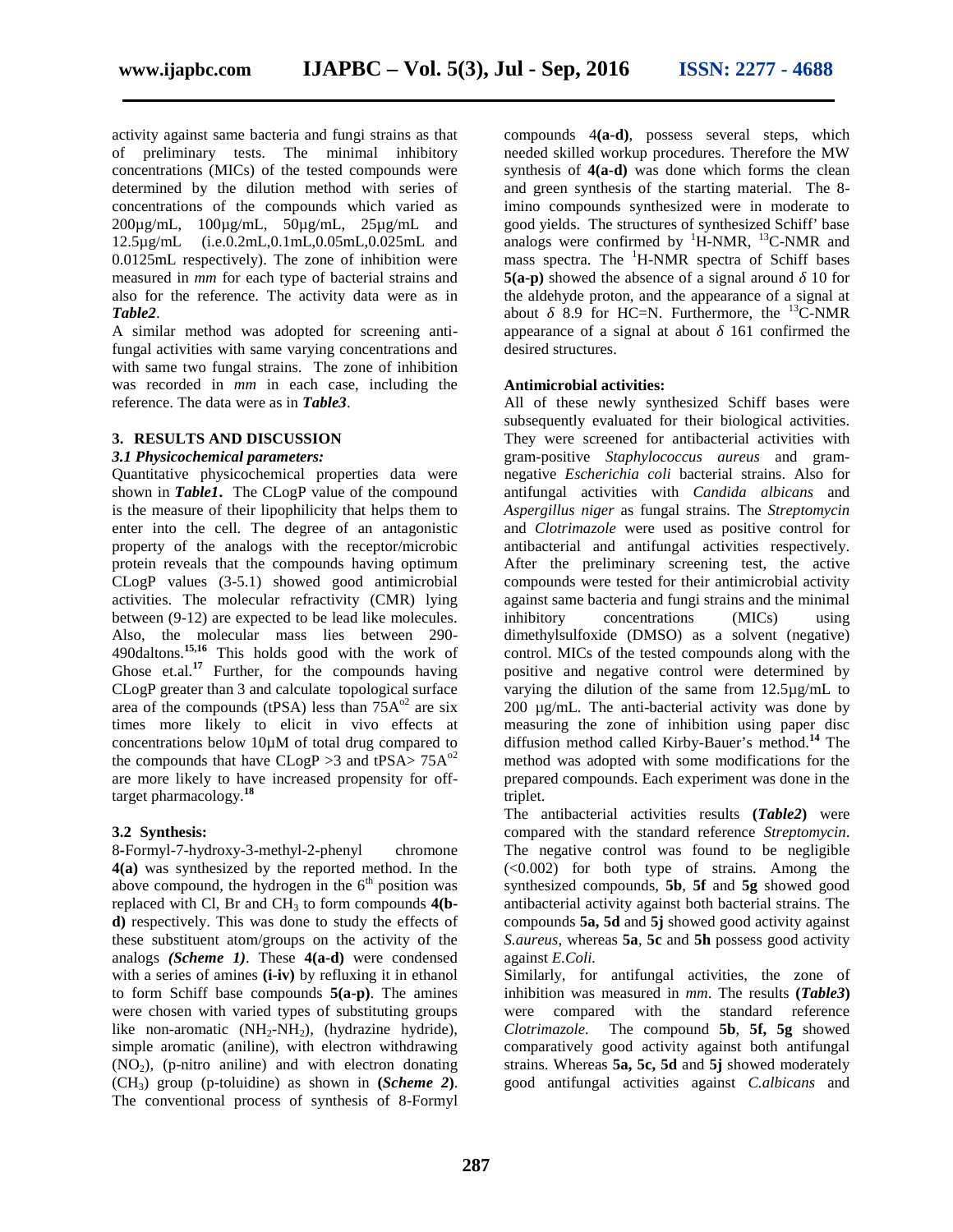activity against same bacteria and fungi strains as that of preliminary tests. The minimal inhibitory concentrations (MICs) of the tested compounds were determined by the dilution method with series of concentrations of the compounds which varied as 200µg/mL, 100µg/mL, 50µg/mL, 25µg/mL and 12.5µg/mL (i.e.0.2mL,0.1mL,0.05mL,0.025mL and 0.0125mL respectively). The zone of inhibition were measured in *mm* for each type of bacterial strains and also for the reference. The activity data were as in *Table2*.

A similar method was adopted for screening antifungal activities with same varying concentrations and with same two fungal strains. The zone of inhibition was recorded in *mm* in each case, including the reference. The data were as in *Table3*.

#### **3. RESULTS AND DISCUSSION**

#### *3.1 Physicochemical parameters:*

Quantitative physicochemical properties data were shown in **Table1**. The CLogP value of the compound is the measure of their lipophilicity that helps them to enter into the cell. The degree of an antagonistic property of the analogs with the receptor/microbic protein reveals that the compounds having optimum CLogP values (3-5.1) showed good antimicrobial activities. The molecular refractivity (CMR) lying between (9-12) are expected to be lead like molecules. Also, the molecular mass lies between 290- 490daltons.**15,16** This holds good with the work of Ghose et.al.<sup>17</sup> Further, for the compounds having CLogP greater than 3 and calculate topological surface area of the compounds (tPSA) less than  $75A<sup>02</sup>$  are six times more likely to elicit in vivo effects at concentrations below 10µM of total drug compared to the compounds that have  $CLogP > 3$  and tPSA $> 75A<sup>02</sup>$ are more likely to have increased propensity for offtarget pharmacology.**<sup>18</sup>**

#### **3.2 Synthesis:**

8*-*Formyl-7-hydroxy-3-methyl-2-phenyl chromone **4(a)** was synthesized by the reported method. In the above compound, the hydrogen in the  $6<sup>th</sup>$  position was replaced with Cl, Br and CH<sup>3</sup> to form compounds **4(b d)** respectively. This was done to study the effects of these substituent atom/groups on the activity of the analogs *(Scheme 1)*. These **4(a-d)** were condensed with a series of amines **(i-iv)** by refluxing it in ethanol to form Schiff base compounds **5(a-p)**. The amines were chosen with varied types of substituting groups like non-aromatic  $(NH_2-NH_2)$ , (hydrazine hydride), simple aromatic (aniline), with electron withdrawing  $(NO<sub>2</sub>)$ , (p-nitro aniline) and with electron donating  $(CH_3)$  group (p-toluidine) as shown in  $(Scheme 2)$ . The conventional process of synthesis of 8-Formyl

compounds 4**(a-d)**, possess several steps, which needed skilled workup procedures. Therefore the MW synthesis of **4(a-d)** was done which forms the clean and green synthesis of the starting material. The 8 imino compounds synthesized were in moderate to good yields. The structures of synthesized Schiff' base analogs were confirmed by  ${}^{1}$ H-NMR,  ${}^{13}$ C-NMR and mass spectra. The  ${}^{1}$ H-NMR spectra of Schiff bases **5(a-p)** showed the absence of a signal around 10 for the aldehyde proton, and the appearance of a signal at about 8.9 for HC=N. Furthermore, the  $^{13}$ C-NMR appearance of a signal at about 161 confirmed the desired structures.

#### **Antimicrobial activities:**

All of these newly synthesized Schiff bases were subsequently evaluated for their biological activities. They were screened for antibacterial activities with gram-positive *Staphylococcus aureus* and gram negative *Escherichia coli* bacterial strains. Also for antifungal activities with *Candida albicans* and *Aspergillus niger* as fungal strains*.* The *Streptomycin* and *Clotrimazole* were used as positive control for antibacterial and antifungal activities respectively. After the preliminary screening test, the active compounds were tested for their antimicrobial activity against same bacteria and fungi strains and the minimal inhibitory concentrations (MICs) using dimethylsulfoxide (DMSO) as a solvent (negative) control. MICs of the tested compounds along with the positive and negative control were determined by varying the dilution of the same from 12.5µg/mL to 200 µg/mL. The anti-bacterial activity was done by measuring the zone of inhibition using paper disc diffusion method called Kirby-Bauer's method.**<sup>14</sup>** The method was adopted with some modifications for the prepared compounds. Each experiment was done in the triplet.

The antibacterial activities results **(***Table2***)** were compared with the standard reference *Streptomycin*. The negative control was found to be negligible (<0.002) for both type of strains. Among the synthesized compounds, **5b**, **5f** and **5g** showed good antibacterial activity against both bacterial strains. The compounds **5a, 5d** and **5j** showed good activity against *S.aureus*, whereas **5a**, **5c** and **5h** possess good activity against *E.Coli.*

Similarly, for antifungal activities, the zone of inhibition was measured in *mm*. The results **(***Table3***)** were compared with the standard reference *Clotrimazole.* The compound **5b**, **5f, 5g** showed comparatively good activity against both antifungal strains. Whereas **5a, 5c, 5d** and **5j**showed moderately good antifungal activities against *C.albicans* and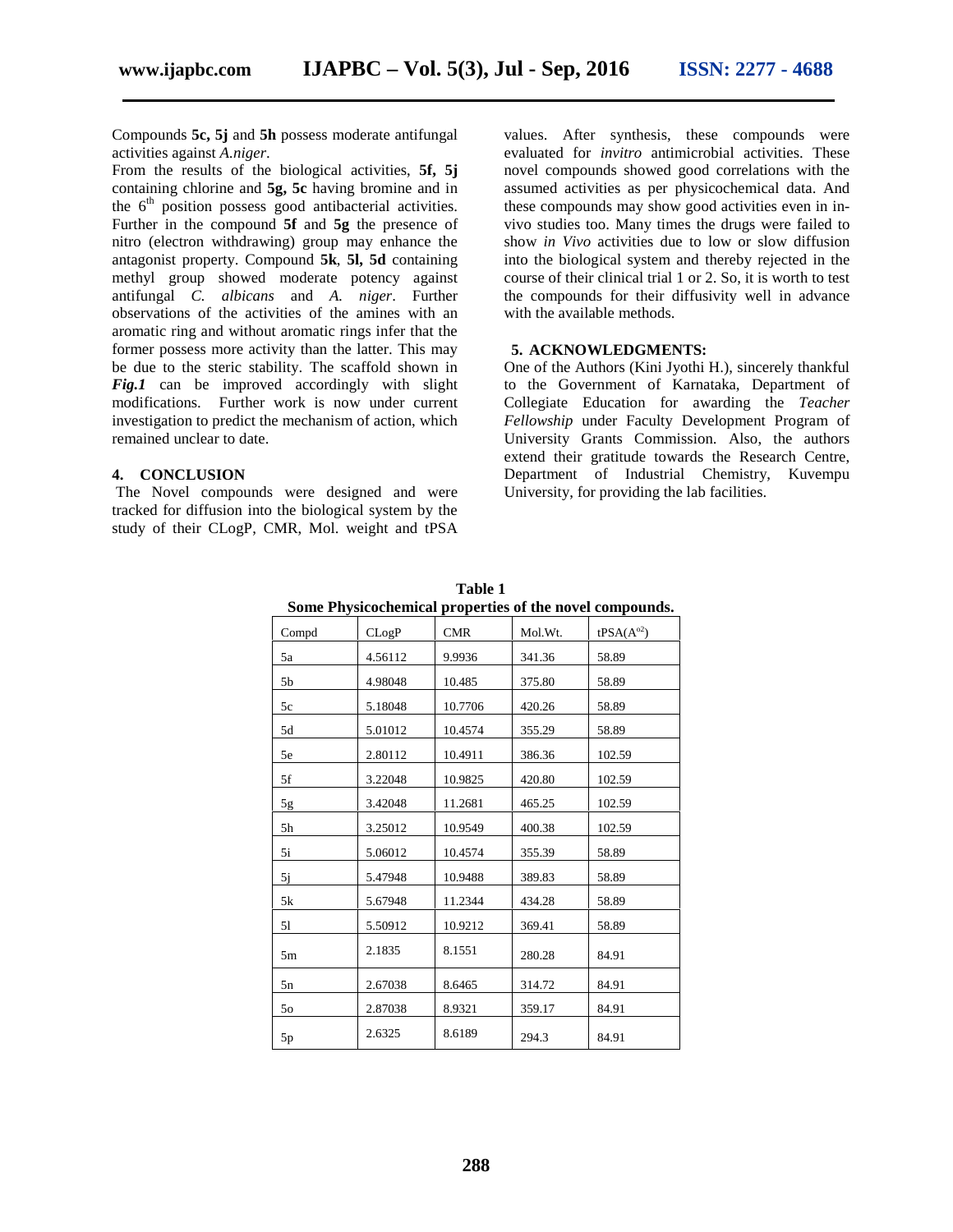Compounds **5c, 5j** and **5h** possess moderate antifungal activities against *A.niger*.

From the results of the biological activities, **5f, 5j** containing chlorine and **5g, 5c** having bromine and in the  $6<sup>th</sup>$  position possess good antibacterial activities. Further in the compound **5f** and **5g** the presence of nitro (electron withdrawing) group may enhance the antagonist property. Compound **5k**, **5l, 5d** containing methyl group showed moderate potency against antifungal *C. albicans* and *A. niger*. Further observations of the activities of the amines with an aromatic ring and without aromatic rings infer that the former possess more activity than the latter. This may be due to the steric stability. The scaffold shown in Fig.1 can be improved accordingly with slight modifications. Further work is now under current investigation to predict the mechanism of action, which remained unclear to date.

#### **4. CONCLUSION**

The Novel compounds were designed and were tracked for diffusion into the biological system by the study of their CLogP, CMR, Mol. weight and tPSA values. After synthesis, these compounds were evaluated for *invitro* antimicrobial activities. These novel compounds showed good correlations with the assumed activities as per physicochemical data. And these compounds may show good activities even in in vivo studies too. Many times the drugs were failed to show *in Vivo* activities due to low or slow diffusion into the biological system and thereby rejected in the course of their clinical trial 1 or 2. So, it is worth to test the compounds for their diffusivity well in advance with the available methods.

#### **5. ACKNOWLEDGMENTS:**

One of the Authors (Kini Jyothi H.), sincerely thankful to the Government of Karnataka, Department of Collegiate Education for awarding the *Teacher Fellowship* under Faculty Development Program of University Grants Commission. Also, the authors extend their gratitude towards the Research Centre, Department of Industrial Chemistry, Kuvempu University, for providing the lab facilities.

|                |         |            |         | bome I hysicochemical properties of the hover compounds. |
|----------------|---------|------------|---------|----------------------------------------------------------|
| Compd          | CLogP   | <b>CMR</b> | Mol.Wt. | $tPSA(A^{\circ 2})$                                      |
| 5a             | 4.56112 | 9.9936     | 341.36  | 58.89                                                    |
| 5 <sub>b</sub> | 4.98048 | 10.485     | 375.80  | 58.89                                                    |
| 5c             | 5.18048 | 10.7706    | 420.26  | 58.89                                                    |
| 5d             | 5.01012 | 10.4574    | 355.29  | 58.89                                                    |
| 5e             | 2.80112 | 10.4911    | 386.36  | 102.59                                                   |
| 5f             | 3.22048 | 10.9825    | 420.80  | 102.59                                                   |
| $5g$           | 3.42048 | 11.2681    | 465.25  | 102.59                                                   |
| 5 <sub>h</sub> | 3.25012 | 10.9549    | 400.38  | 102.59                                                   |
| 5i             | 5.06012 | 10.4574    | 355.39  | 58.89                                                    |
| 5j             | 5.47948 | 10.9488    | 389.83  | 58.89                                                    |
| 5k             | 5.67948 | 11.2344    | 434.28  | 58.89                                                    |
| 51             | 5.50912 | 10.9212    | 369.41  | 58.89                                                    |
| 5m             | 2.1835  | 8.1551     | 280.28  | 84.91                                                    |
| 5n             | 2.67038 | 8.6465     | 314.72  | 84.91                                                    |
| 50             | 2.87038 | 8.9321     | 359.17  | 84.91                                                    |
| 5p             | 2.6325  | 8.6189     | 294.3   | 84.91                                                    |

**Table 1 Some Physicochemical properties of the novel compounds.**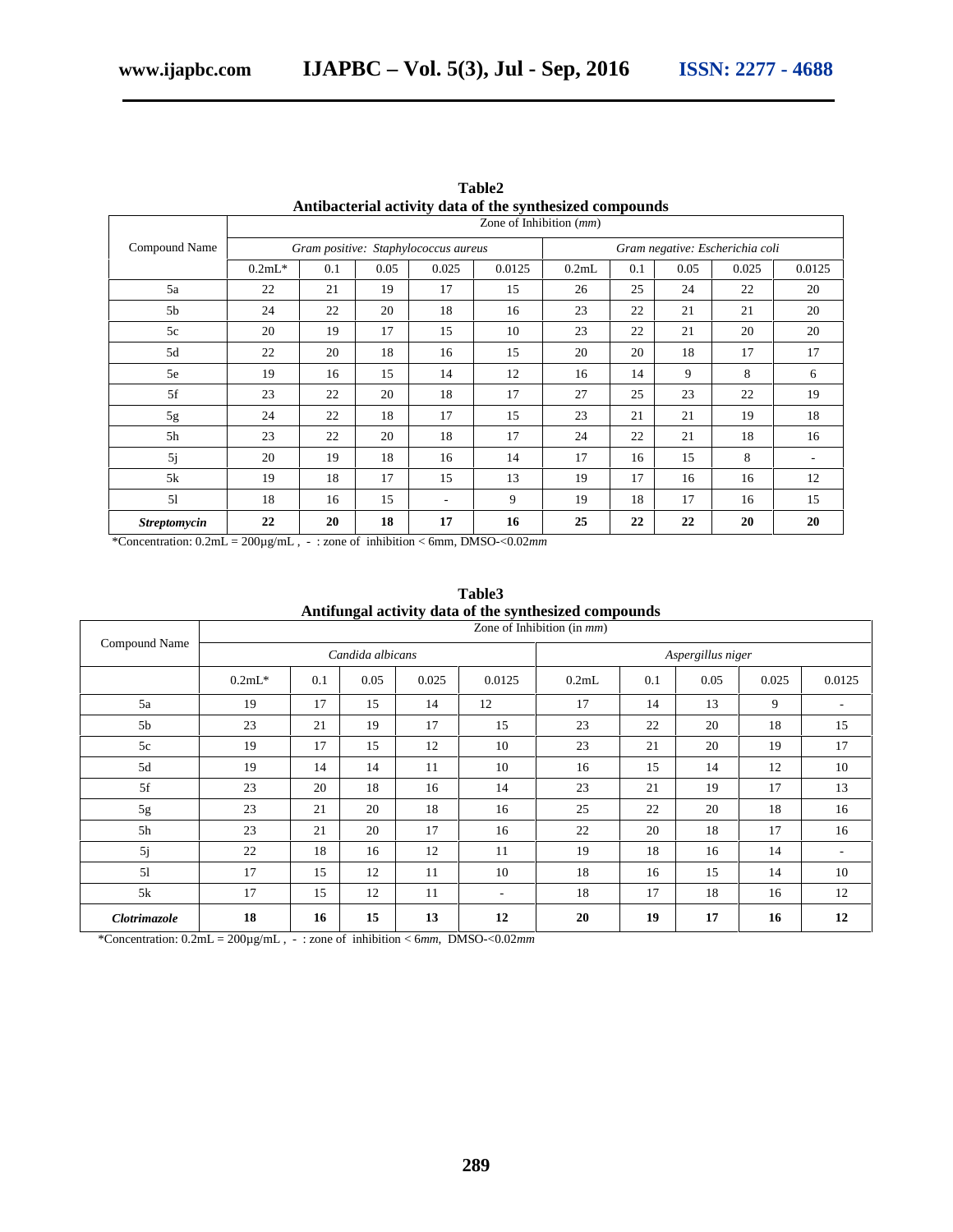| Antibacterial activity data of the synthesized compounds |                                      |     |      |       |        |                                 |     |      |       |        |
|----------------------------------------------------------|--------------------------------------|-----|------|-------|--------|---------------------------------|-----|------|-------|--------|
|                                                          | Zone of Inhibition $(mm)$            |     |      |       |        |                                 |     |      |       |        |
| Compound Name                                            | Gram positive: Staphylococcus aureus |     |      |       |        | Gram negative: Escherichia coli |     |      |       |        |
|                                                          | $0.2mL*$                             | 0.1 | 0.05 | 0.025 | 0.0125 | 0.2mL                           | 0.1 | 0.05 | 0.025 | 0.0125 |
| 5a                                                       | 22                                   | 21  | 19   | 17    | 15     | 26                              | 25  | 24   | 22    | 20     |
| 5 <sub>b</sub>                                           | 24                                   | 22  | 20   | 18    | 16     | 23                              | 22  | 21   | 21    | 20     |
| 5c                                                       | 20                                   | 19  | 17   | 15    | 10     | 23                              | 22  | 21   | 20    | 20     |
| 5d                                                       | 22                                   | 20  | 18   | 16    | 15     | 20                              | 20  | 18   | 17    | 17     |
| 5e                                                       | 19                                   | 16  | 15   | 14    | 12     | 16                              | 14  | 9    | 8     | 6      |
| 5f                                                       | 23                                   | 22  | 20   | 18    | 17     | 27                              | 25  | 23   | 22    | 19     |
| 5g                                                       | 24                                   | 22  | 18   | 17    | 15     | 23                              | 21  | 21   | 19    | 18     |
| 5h                                                       | 23                                   | 22  | 20   | 18    | 17     | 24                              | 22  | 21   | 18    | 16     |
| 5j                                                       | 20                                   | 19  | 18   | 16    | 14     | 17                              | 16  | 15   | 8     | ٠.     |
| 5k                                                       | 19                                   | 18  | 17   | 15    | 13     | 19                              | 17  | 16   | 16    | 12     |
| 51                                                       | 18                                   | 16  | 15   |       | 9      | 19                              | 18  | 17   | 16    | 15     |
| <b>Streptomycin</b>                                      | 22                                   | 20  | 18   | 17    | 16     | 25                              | 22  | 22   | 20    | 20     |

**Table2**

\*Concentration: 0.2mL = 200µg/mL , - : zone of inhibition < 6mm, DMSO-<0.02*mm*

|                     |                               |     |      |       |        | Antifungal activity data of the synthesized compounds |     |      |       |                          |
|---------------------|-------------------------------|-----|------|-------|--------|-------------------------------------------------------|-----|------|-------|--------------------------|
| Compound Name       | Zone of Inhibition (in $mm$ ) |     |      |       |        |                                                       |     |      |       |                          |
|                     | Candida albicans              |     |      |       |        | Aspergillus niger                                     |     |      |       |                          |
|                     | $0.2mL*$                      | 0.1 | 0.05 | 0.025 | 0.0125 | 0.2mL                                                 | 0.1 | 0.05 | 0.025 | 0.0125                   |
| 5a                  | 19                            | 17  | 15   | 14    | 12     | 17                                                    | 14  | 13   | 9     | $\overline{\phantom{a}}$ |
| 5b                  | 23                            | 21  | 19   | 17    | 15     | 23                                                    | 22  | 20   | 18    | 15                       |
| 5c                  | 19                            | 17  | 15   | 12    | 10     | 23                                                    | 21  | 20   | 19    | 17                       |
| 5d                  | 19                            | 14  | 14   | 11    | 10     | 16                                                    | 15  | 14   | 12    | 10                       |
| 5f                  | 23                            | 20  | 18   | 16    | 14     | 23                                                    | 21  | 19   | 17    | 13                       |
| 5g                  | 23                            | 21  | 20   | 18    | 16     | 25                                                    | 22  | 20   | 18    | 16                       |
| 5h                  | 23                            | 21  | 20   | 17    | 16     | 22                                                    | 20  | 18   | 17    | 16                       |
| 5j                  | 22                            | 18  | 16   | 12    | 11     | 19                                                    | 18  | 16   | 14    | $\overline{\phantom{a}}$ |
| 51                  | 17                            | 15  | 12   | 11    | 10     | 18                                                    | 16  | 15   | 14    | 10                       |
| 5k                  | 17                            | 15  | 12   | 11    | ٠      | 18                                                    | 17  | 18   | 16    | 12                       |
| <b>Clotrimazole</b> | 18                            | 16  | 15   | 13    | 12     | 20                                                    | 19  | 17   | 16    | 12                       |

| Table3                                                |  |
|-------------------------------------------------------|--|
| Antifungal activity data of the synthesized compounds |  |

\*Concentration: 0.2mL = 200µg/mL , - : zone of inhibition < 6*mm*, DMSO-<0.02*mm*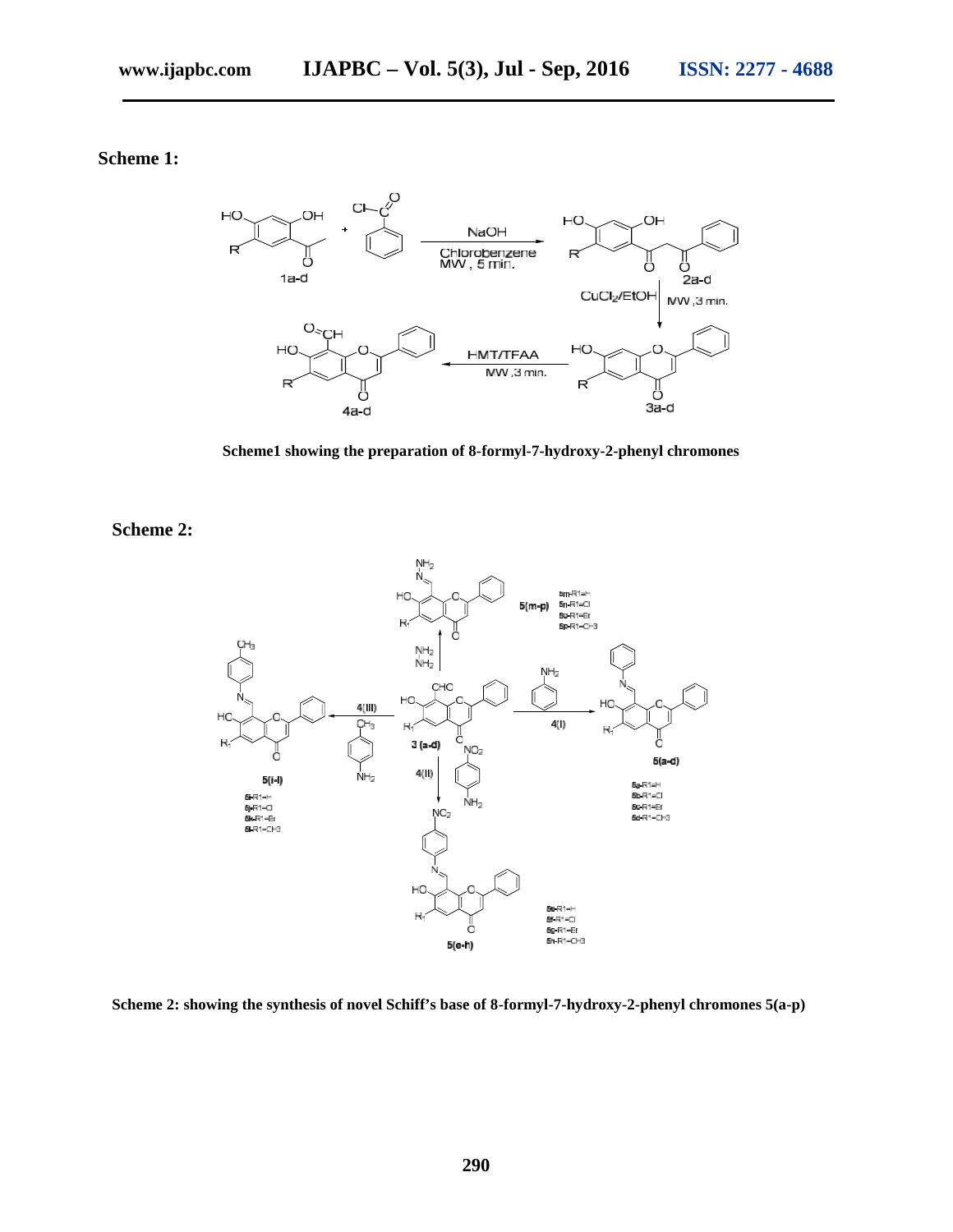# **Scheme 1:**



**Scheme1 showing the preparation of 8-formyl-7-hydroxy-2-phenyl chromones**

**Scheme 2:**



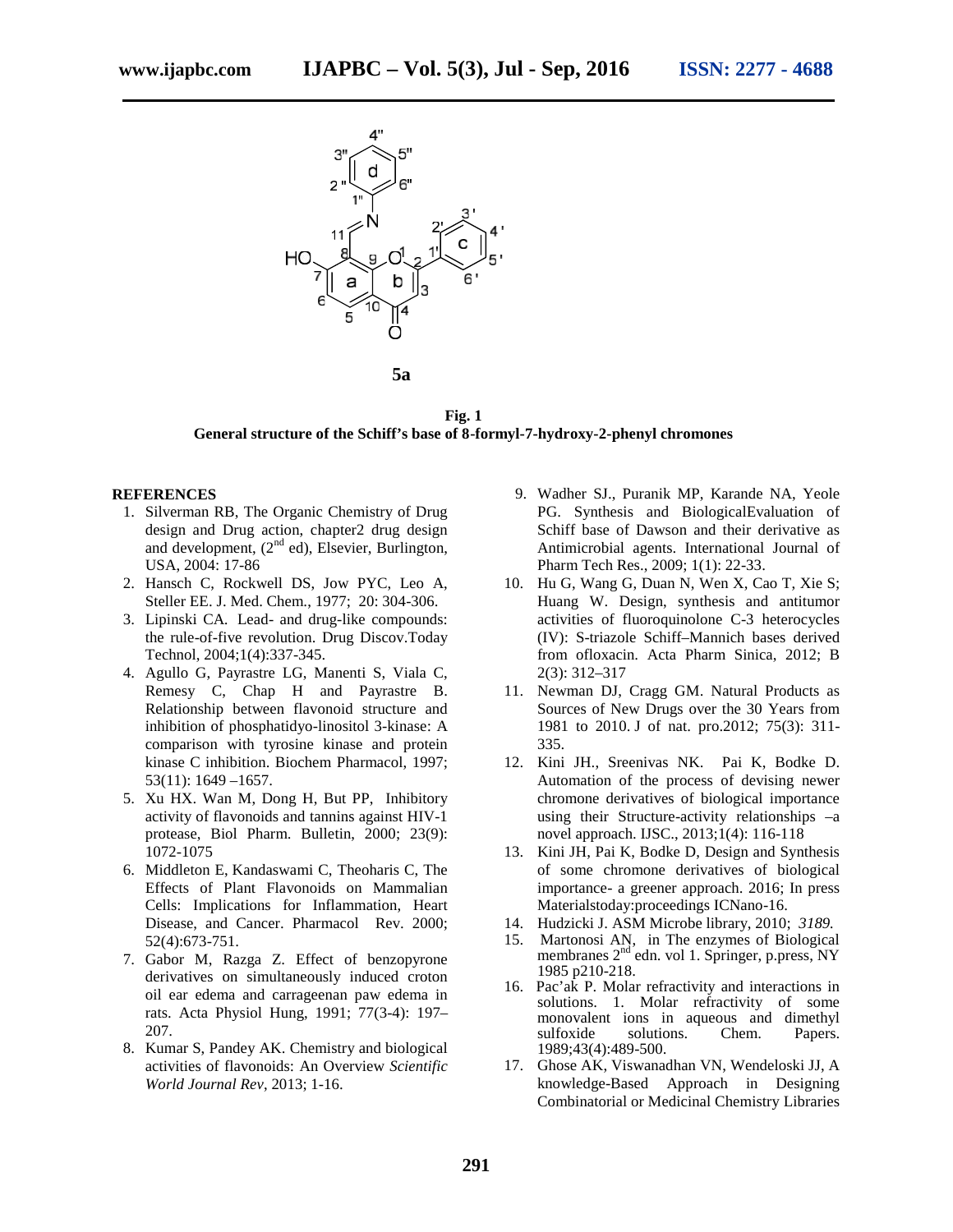

**Fig. 1 General structure of the Schiff's base of 8-formyl-7-hydroxy-2-phenyl chromones**

#### **REFERENCES**

- 1. Silverman RB, The Organic Chemistry of Drug design and Drug action, chapter2 drug design and development, (2<sup>nd</sup> ed), Elsevier, Burlington, USA, 2004: 17-86
- 2. Hansch C, Rockwell DS, Jow PYC, Leo A, Steller EE. J. Med. Chem., 1977; 20: 304-306.
- 3. Lipinski CA*.* Lead- and drug-like compounds: the rule-of-five revolution. Drug Discov.Today Technol, 2004;1(4):337-345.
- 4. Agullo G, Payrastre LG, Manenti S, Viala C, Remesy C, Chap H and Payrastre B. Relationship between flavonoid structure and inhibition of phosphatidyo-linositol 3-kinase: A comparison with tyrosine kinase and protein kinase C inhibition. Biochem Pharmacol, 1997; 53(11): 1649 –1657.
- 5. Xu HX. Wan M, Dong H, But PP, Inhibitory activity of flavonoids and tannins against HIV-1 protease, Biol Pharm. Bulletin, 2000; 23(9): 1072-1075
- 6. Middleton E, Kandaswami C, Theoharis C, The Effects of Plant Flavonoids on Mammalian Cells: Implications for Inflammation, Heart Disease, and Cancer. Pharmacol Rev. 2000; 52(4):673-751.
- 7. Gabor M, Razga Z. Effect of benzopyrone derivatives on simultaneously induced croton oil ear edema and carrageenan paw edema in rats. Acta Physiol Hung, 1991; 77(3-4): 197– 207.
- 8. Kumar S, Pandey AK. Chemistry and biological activities of flavonoids: An Overview *Scientific World Journal Rev*, 2013; 1-16.
- 9. Wadher SJ., Puranik MP, Karande NA, Yeole PG. Synthesis and BiologicalEvaluation of Schiff base of Dawson and their derivative as Antimicrobial agents. International Journal of Pharm Tech Res., 2009; 1(1): 22-33.
- 10. Hu G, Wang G, Duan N, Wen X, Cao T, Xie S; Huang W. Design, synthesis and antitumor activities of fluoroquinolone C-3 heterocycles (IV): S-triazole Schiff–Mannich bases derived from ofloxacin. Acta Pharm Sinica, 2012; B 2(3): 312–317
- 11. Newman DJ, Cragg GM. Natural Products as Sources of New Drugs over the 30 Years from 1981 to 2010. J of nat. pro.2012; 75(3): 311- 335.
- 12. Kini JH., Sreenivas NK. Pai K, Bodke D. Automation of the process of devising newer chromone derivatives of biological importance using their Structure-activity relationships –a novel approach. IJSC., 2013;1(4): 116-118
- 13. Kini JH, Pai K, Bodke D, Design and Synthesis of some chromone derivatives of biological importance- a greener approach. 2016; In press Materialstoday:proceedings ICNano-16.
- 14. Hudzicki J. ASM Microbe library, 2010; *3189.*
- 15. Martonosi AN, in The enzymes of Biological membranes 2<sup>nd</sup> edn. vol 1. Springer, p.press, NY 1985 p210-218.
- 16. Pac'ak P. Molar refractivity and interactions in solutions. 1. Molar refractivity of some monovalent ions in aqueous and dimethyl sulfoxide solutions. Chem. Papers. 1989;43(4):489-500.
- 17. Ghose AK, Viswanadhan VN, Wendeloski JJ, A knowledge-Based Approach in Designing Combinatorial or Medicinal Chemistry Libraries